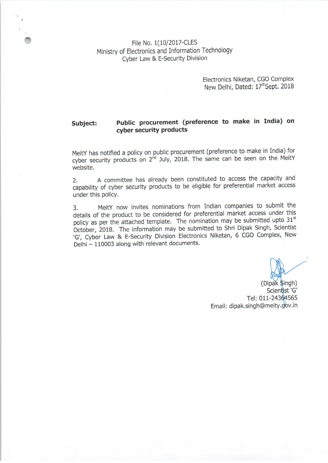File No. 1(10/2017-CLES Ministry of Electronics and Information Technology Cyber Law & E-Security Division

> Electronics Niketan, CGO Complex New Delhi, Dated: 17th Sept. 2018

## Public procurement (preference to make in India) on Subject: cyber security products

MeitY has notified a policy on public procurement (preference to make in India) for cyber security products on 2<sup>nd</sup> July, 2018. The same can be seen on the MeitY website.

A committee has already been constituted to access the capacity and  $2.$ capability of cyber security products to be eligible for preferential market access under this policy.

MeitY now invites nominations from Indian companies to submit the  $\overline{3}$ . details of the product to be considered for preferential market access under this policy as per the attached template. The nomination may be submitted upto 31st October, 2018. The information may be submitted to Shri Dipak Singh, Scientist 'G', Cyber Law & E-Security Division Electronics Niketan, 6 CGO Complex, New Delhi - 110003 along with relevant documents.

(Dipak Singh) Scientist 'G' Tel: 011-24364565 Email: dipak.singh@meity.gov.in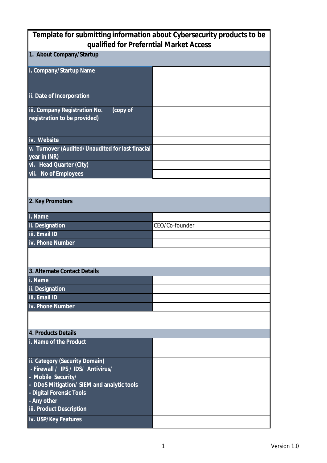| Template for submitting information about Cybersecurity products to be    |                |  |
|---------------------------------------------------------------------------|----------------|--|
| qualified for Preferntial Market Access                                   |                |  |
| 1. About Company/Startup                                                  |                |  |
| i. Company/Startup Name                                                   |                |  |
| ii. Date of Incorporation                                                 |                |  |
| iii. Company Registration No.<br>(copy of<br>registration to be provided) |                |  |
| iv. Website                                                               |                |  |
| v. Turnover (Audited/Unaudited for last finacial<br>year in INR)          |                |  |
| vi. Head Quarter (City)                                                   |                |  |
| vii. No of Employees                                                      |                |  |
|                                                                           |                |  |
| 2. Key Promoters                                                          |                |  |
| i. Name                                                                   |                |  |
| ii. Designation                                                           | CEO/Co-founder |  |
| iii. Email ID                                                             |                |  |
| iv. Phone Number                                                          |                |  |
|                                                                           |                |  |
| 3. Alternate Contact Details                                              |                |  |
| i. Name                                                                   |                |  |
| ii. Designation                                                           |                |  |
| iii. Email ID                                                             |                |  |
| iv. Phone Number                                                          |                |  |
|                                                                           |                |  |
| 4. Products Details                                                       |                |  |
| i. Name of the Product                                                    |                |  |
| ii. Category (Security Domain)<br>- Firewall / IPS / IDS/ Antivirus/      |                |  |
| - Mobile Security/                                                        |                |  |
| - DDoS Mitigation/ SIEM and analytic tools                                |                |  |
| - Digital Forensic Tools                                                  |                |  |
| - Any other                                                               |                |  |
| iii. Product Description                                                  |                |  |
| iv. USP/Key Features                                                      |                |  |